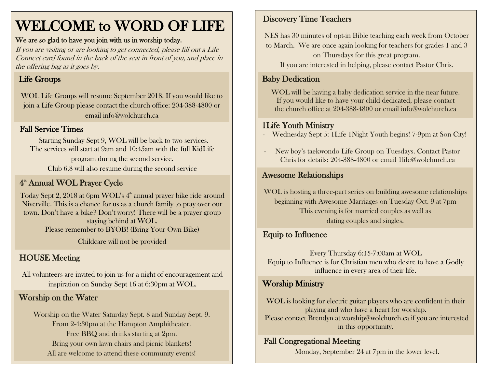# WELCOME to WORD OF LIFE

#### We are so glad to have you join with us in worship today.

If you are visiting or are looking to get connected, please fill out a Life Connect card found in the back of the seat in front of you, and place in the offering bag as it goes by.

# Life Groups

WOL Life Groups will resume September 2018. If you would like to join a Life Group please contact the church office: 204-388-4800 or email info@wolchurch.ca

## Fall Service Times

Starting Sunday Sept 9, WOL will be back to two services. The services will start at 9am and 10:45am with the full KidLife program during the second service. Club 6.8 will also resume during the second service

# 4<sup>th</sup> Annual WOL Prayer Cycle

Today Sept 2, 2018 at 6pm WOL's 4 th annual prayer bike ride around Niverville. This is a chance for us as a church family to pray over our town. Don't have a bike? Don't worry! There will be a prayer group staying behind at WOL. Please remember to BYOB! (Bring Your Own Bike) Childcare will not be provided

# HOUSE Meeting

All volunteers are invited to join us for a night of encouragement and inspiration on Sunday Sept 16 at 6:30pm at WOL.

## Worship on the Water

Worship on the Water Saturday Sept. 8 and Sunday Sept. 9. From 2-4:30pm at the Hampton Amphitheater. Free BBQ and drinks starting at 2pm. Bring your own lawn chairs and picnic blankets! All are welcome to attend these community events!

#### Discovery Time Teachers

NES has 30 minutes of opt-in Bible teaching each week from October to March. We are once again looking for teachers for grades 1 and 3 on Thursdays for this great program.

If you are interested in helping, please contact Pastor Chris.

# Baby Dedication

WOL will be having a baby dedication service in the near future. If you would like to have your child dedicated, please contact the church office at 204-388-4800 or email info@wolchurch.ca

#### 1Life Youth Ministry

- Wednesday Sept 5: 1Life 1Night Youth begins! 7-9pm at Son City!
- New boy's taekwondo Life Group on Tuesdays. Contact Pastor Chris for details: 204-388-4800 or email 1life@wolchurch.ca

#### Awesome Relationships

WOL is hosting a three-part series on building awesome relationships beginning with Awesome Marriages on Tuesday Oct. 9 at 7pm This evening is for married couples as well as dating couples and singles.

## **Equip to Influence AND WEIGHT WEIGHT WEIGHT WEIGHT**

Every Thursday 6:15-7:00am at WOL Equip to Influence is for Christian men who desire to have a Godly influence in every area of their life.

#### Worship Ministry

 WOL is looking for electric guitar players who are confident in their playing and who have a heart for worship. Please contact Brendyn at worship@wolchurch.ca if you are interested in this opportunity.

#### Fall Congregational Meeting

Monday, September 24 at 7pm in the lower level.